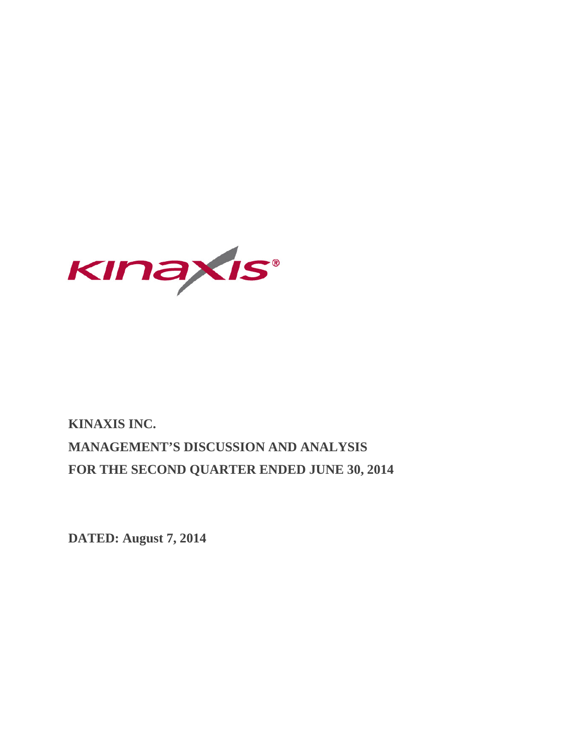

# **KINAXIS INC. MANAGEMENT'S DISCUSSION AND ANALYSIS FOR THE SECOND QUARTER ENDED JUNE 30, 2014**

**DATED: August 7, 2014**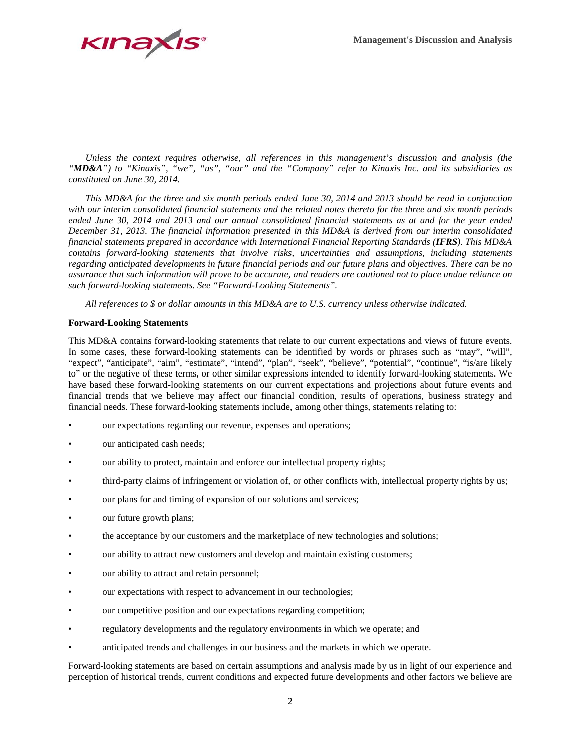

*Unless the context requires otherwise, all references in this management's discussion and analysis (the "MD&A") to "Kinaxis", "we", "us", "our" and the "Company" refer to Kinaxis Inc. and its subsidiaries as constituted on June 30, 2014.*

*This MD&A for the three and six month periods ended June 30, 2014 and 2013 should be read in conjunction with our interim consolidated financial statements and the related notes thereto for the three and six month periods ended June 30, 2014 and 2013 and our annual consolidated financial statements as at and for the year ended December 31, 2013. The financial information presented in this MD&A is derived from our interim consolidated financial statements prepared in accordance with International Financial Reporting Standards (IFRS). This MD&A contains forward-looking statements that involve risks, uncertainties and assumptions, including statements regarding anticipated developments in future financial periods and our future plans and objectives. There can be no assurance that such information will prove to be accurate, and readers are cautioned not to place undue reliance on such forward-looking statements. See "Forward-Looking Statements".*

*All references to \$ or dollar amounts in this MD&A are to U.S. currency unless otherwise indicated.* 

## **Forward-Looking Statements**

This MD&A contains forward-looking statements that relate to our current expectations and views of future events. In some cases, these forward-looking statements can be identified by words or phrases such as "may", "will", "expect", "anticipate", "aim", "estimate", "intend", "plan", "seek", "believe", "potential", "continue", "is/are likely to" or the negative of these terms, or other similar expressions intended to identify forward-looking statements. We have based these forward-looking statements on our current expectations and projections about future events and financial trends that we believe may affect our financial condition, results of operations, business strategy and financial needs. These forward-looking statements include, among other things, statements relating to:

- our expectations regarding our revenue, expenses and operations;
- our anticipated cash needs;
- our ability to protect, maintain and enforce our intellectual property rights;
- third-party claims of infringement or violation of, or other conflicts with, intellectual property rights by us;
- our plans for and timing of expansion of our solutions and services;
- our future growth plans;
- the acceptance by our customers and the marketplace of new technologies and solutions;
- our ability to attract new customers and develop and maintain existing customers;
- our ability to attract and retain personnel;
- our expectations with respect to advancement in our technologies;
- our competitive position and our expectations regarding competition;
- regulatory developments and the regulatory environments in which we operate; and
- anticipated trends and challenges in our business and the markets in which we operate.

Forward-looking statements are based on certain assumptions and analysis made by us in light of our experience and perception of historical trends, current conditions and expected future developments and other factors we believe are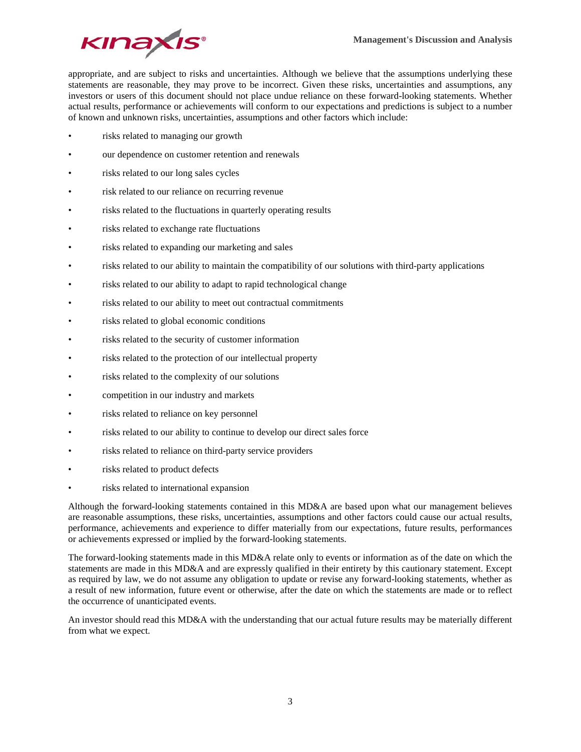

appropriate, and are subject to risks and uncertainties. Although we believe that the assumptions underlying these statements are reasonable, they may prove to be incorrect. Given these risks, uncertainties and assumptions, any investors or users of this document should not place undue reliance on these forward-looking statements. Whether actual results, performance or achievements will conform to our expectations and predictions is subject to a number of known and unknown risks, uncertainties, assumptions and other factors which include:

- risks related to managing our growth
- our dependence on customer retention and renewals
- risks related to our long sales cycles
- risk related to our reliance on recurring revenue
- risks related to the fluctuations in quarterly operating results
- risks related to exchange rate fluctuations
- risks related to expanding our marketing and sales
- risks related to our ability to maintain the compatibility of our solutions with third-party applications
- risks related to our ability to adapt to rapid technological change
- risks related to our ability to meet out contractual commitments
- risks related to global economic conditions
- risks related to the security of customer information
- risks related to the protection of our intellectual property
- risks related to the complexity of our solutions
- competition in our industry and markets
- risks related to reliance on key personnel
- risks related to our ability to continue to develop our direct sales force
- risks related to reliance on third-party service providers
- risks related to product defects
- risks related to international expansion

Although the forward-looking statements contained in this MD&A are based upon what our management believes are reasonable assumptions, these risks, uncertainties, assumptions and other factors could cause our actual results, performance, achievements and experience to differ materially from our expectations, future results, performances or achievements expressed or implied by the forward-looking statements.

The forward-looking statements made in this MD&A relate only to events or information as of the date on which the statements are made in this MD&A and are expressly qualified in their entirety by this cautionary statement. Except as required by law, we do not assume any obligation to update or revise any forward-looking statements, whether as a result of new information, future event or otherwise, after the date on which the statements are made or to reflect the occurrence of unanticipated events.

An investor should read this MD&A with the understanding that our actual future results may be materially different from what we expect.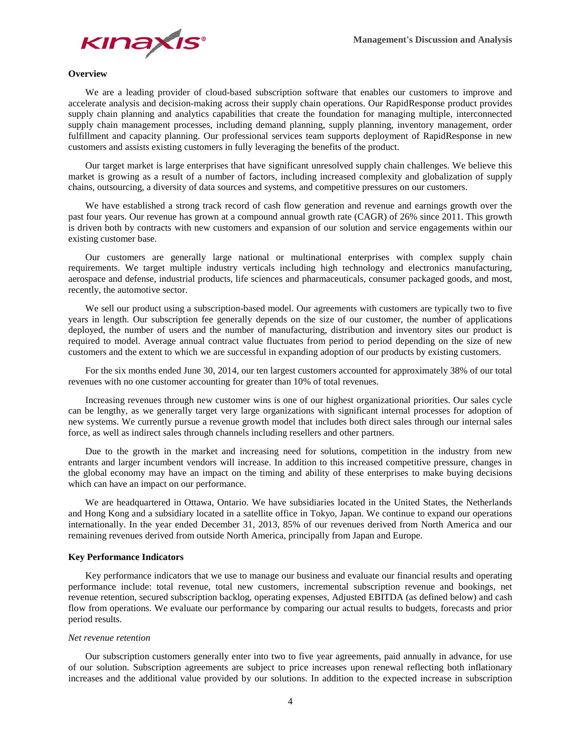

## **Overview**

We are a leading provider of cloud-based subscription software that enables our customers to improve and accelerate analysis and decision-making across their supply chain operations. Our RapidResponse product provides supply chain planning and analytics capabilities that create the foundation for managing multiple, interconnected supply chain management processes, including demand planning, supply planning, inventory management, order fulfillment and capacity planning. Our professional services team supports deployment of RapidResponse in new customers and assists existing customers in fully leveraging the benefits of the product.

Our target market is large enterprises that have significant unresolved supply chain challenges. We believe this market is growing as a result of a number of factors, including increased complexity and globalization of supply chains, outsourcing, a diversity of data sources and systems, and competitive pressures on our customers.

We have established a strong track record of cash flow generation and revenue and earnings growth over the past four years. Our revenue has grown at a compound annual growth rate (CAGR) of 26% since 2011. This growth is driven both by contracts with new customers and expansion of our solution and service engagements within our existing customer base.

Our customers are generally large national or multinational enterprises with complex supply chain requirements. We target multiple industry verticals including high technology and electronics manufacturing, aerospace and defense, industrial products, life sciences and pharmaceuticals, consumer packaged goods, and most, recently, the automotive sector.

We sell our product using a subscription-based model. Our agreements with customers are typically two to five years in length. Our subscription fee generally depends on the size of our customer, the number of applications deployed, the number of users and the number of manufacturing, distribution and inventory sites our product is required to model. Average annual contract value fluctuates from period to period depending on the size of new customers and the extent to which we are successful in expanding adoption of our products by existing customers.

For the six months ended June 30, 2014, our ten largest customers accounted for approximately 38% of our total revenues with no one customer accounting for greater than 10% of total revenues.

Increasing revenues through new customer wins is one of our highest organizational priorities. Our sales cycle can be lengthy, as we generally target very large organizations with significant internal processes for adoption of new systems. We currently pursue a revenue growth model that includes both direct sales through our internal sales force, as well as indirect sales through channels including resellers and other partners.

Due to the growth in the market and increasing need for solutions, competition in the industry from new entrants and larger incumbent vendors will increase. In addition to this increased competitive pressure, changes in the global economy may have an impact on the timing and ability of these enterprises to make buying decisions which can have an impact on our performance.

We are headquartered in Ottawa, Ontario. We have subsidiaries located in the United States, the Netherlands and Hong Kong and a subsidiary located in a satellite office in Tokyo, Japan. We continue to expand our operations internationally. In the year ended December 31, 2013, 85% of our revenues derived from North America and our remaining revenues derived from outside North America, principally from Japan and Europe.

#### **Key Performance Indicators**

Key performance indicators that we use to manage our business and evaluate our financial results and operating performance include: total revenue, total new customers, incremental subscription revenue and bookings, net revenue retention, secured subscription backlog, operating expenses, Adjusted EBITDA (as defined below) and cash flow from operations. We evaluate our performance by comparing our actual results to budgets, forecasts and prior period results.

#### *Net revenue retention*

Our subscription customers generally enter into two to five year agreements, paid annually in advance, for use of our solution. Subscription agreements are subject to price increases upon renewal reflecting both inflationary increases and the additional value provided by our solutions. In addition to the expected increase in subscription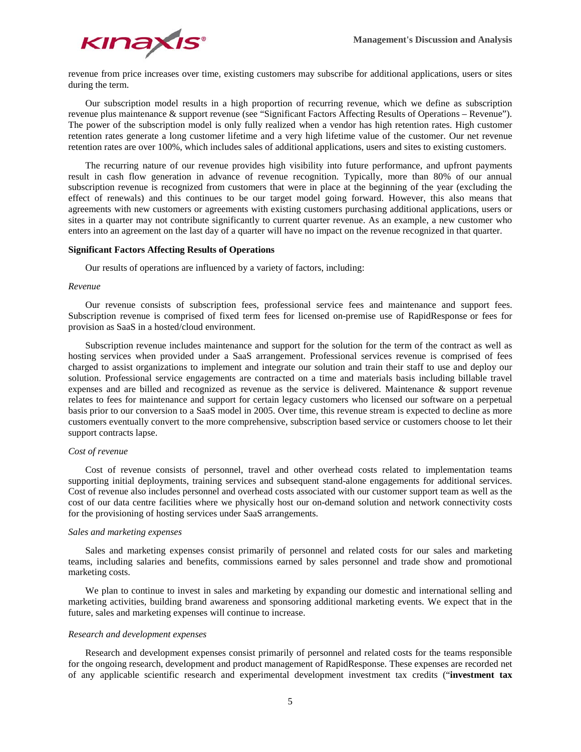

revenue from price increases over time, existing customers may subscribe for additional applications, users or sites during the term.

Our subscription model results in a high proportion of recurring revenue, which we define as subscription revenue plus maintenance & support revenue (see "Significant Factors Affecting Results of Operations – Revenue"). The power of the subscription model is only fully realized when a vendor has high retention rates. High customer retention rates generate a long customer lifetime and a very high lifetime value of the customer. Our net revenue retention rates are over 100%, which includes sales of additional applications, users and sites to existing customers.

The recurring nature of our revenue provides high visibility into future performance, and upfront payments result in cash flow generation in advance of revenue recognition. Typically, more than 80% of our annual subscription revenue is recognized from customers that were in place at the beginning of the year (excluding the effect of renewals) and this continues to be our target model going forward. However, this also means that agreements with new customers or agreements with existing customers purchasing additional applications, users or sites in a quarter may not contribute significantly to current quarter revenue. As an example, a new customer who enters into an agreement on the last day of a quarter will have no impact on the revenue recognized in that quarter.

# **Significant Factors Affecting Results of Operations**

Our results of operations are influenced by a variety of factors, including:

# *Revenue*

Our revenue consists of subscription fees, professional service fees and maintenance and support fees. Subscription revenue is comprised of fixed term fees for licensed on-premise use of RapidResponse or fees for provision as SaaS in a hosted/cloud environment.

Subscription revenue includes maintenance and support for the solution for the term of the contract as well as hosting services when provided under a SaaS arrangement. Professional services revenue is comprised of fees charged to assist organizations to implement and integrate our solution and train their staff to use and deploy our solution. Professional service engagements are contracted on a time and materials basis including billable travel expenses and are billed and recognized as revenue as the service is delivered. Maintenance & support revenue relates to fees for maintenance and support for certain legacy customers who licensed our software on a perpetual basis prior to our conversion to a SaaS model in 2005. Over time, this revenue stream is expected to decline as more customers eventually convert to the more comprehensive, subscription based service or customers choose to let their support contracts lapse.

## *Cost of revenue*

Cost of revenue consists of personnel, travel and other overhead costs related to implementation teams supporting initial deployments, training services and subsequent stand-alone engagements for additional services. Cost of revenue also includes personnel and overhead costs associated with our customer support team as well as the cost of our data centre facilities where we physically host our on-demand solution and network connectivity costs for the provisioning of hosting services under SaaS arrangements.

# *Sales and marketing expenses*

Sales and marketing expenses consist primarily of personnel and related costs for our sales and marketing teams, including salaries and benefits, commissions earned by sales personnel and trade show and promotional marketing costs.

We plan to continue to invest in sales and marketing by expanding our domestic and international selling and marketing activities, building brand awareness and sponsoring additional marketing events. We expect that in the future, sales and marketing expenses will continue to increase.

#### *Research and development expenses*

Research and development expenses consist primarily of personnel and related costs for the teams responsible for the ongoing research, development and product management of RapidResponse. These expenses are recorded net of any applicable scientific research and experimental development investment tax credits ("**investment tax**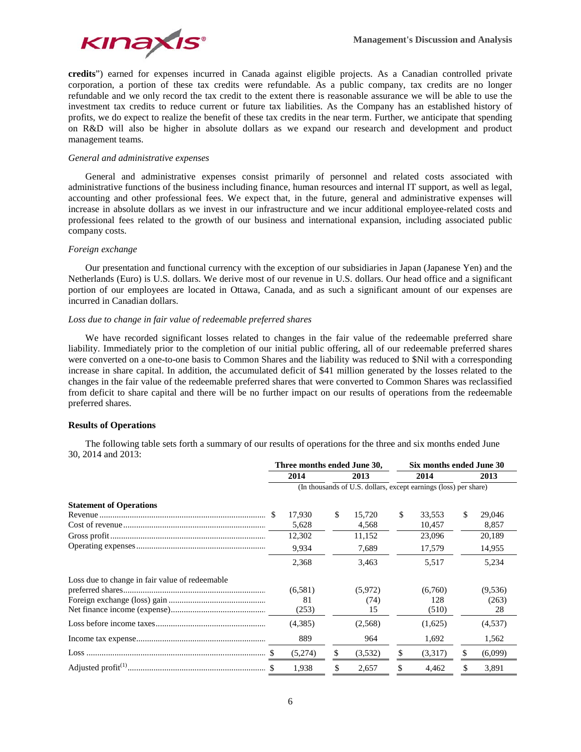

**credits**") earned for expenses incurred in Canada against eligible projects. As a Canadian controlled private corporation, a portion of these tax credits were refundable. As a public company, tax credits are no longer refundable and we only record the tax credit to the extent there is reasonable assurance we will be able to use the investment tax credits to reduce current or future tax liabilities. As the Company has an established history of profits, we do expect to realize the benefit of these tax credits in the near term. Further, we anticipate that spending on R&D will also be higher in absolute dollars as we expand our research and development and product management teams.

## *General and administrative expenses*

General and administrative expenses consist primarily of personnel and related costs associated with administrative functions of the business including finance, human resources and internal IT support, as well as legal, accounting and other professional fees. We expect that, in the future, general and administrative expenses will increase in absolute dollars as we invest in our infrastructure and we incur additional employee-related costs and professional fees related to the growth of our business and international expansion, including associated public company costs.

## *Foreign exchange*

Our presentation and functional currency with the exception of our subsidiaries in Japan (Japanese Yen) and the Netherlands (Euro) is U.S. dollars. We derive most of our revenue in U.S. dollars. Our head office and a significant portion of our employees are located in Ottawa, Canada, and as such a significant amount of our expenses are incurred in Canadian dollars.

# *Loss due to change in fair value of redeemable preferred shares*

We have recorded significant losses related to changes in the fair value of the redeemable preferred share liability. Immediately prior to the completion of our initial public offering, all of our redeemable preferred shares were converted on a one-to-one basis to Common Shares and the liability was reduced to \$Nil with a corresponding increase in share capital. In addition, the accumulated deficit of \$41 million generated by the losses related to the changes in the fair value of the redeemable preferred shares that were converted to Common Shares was reclassified from deficit to share capital and there will be no further impact on our results of operations from the redeemable preferred shares.

# **Results of Operations**

The following table sets forth a summary of our results of operations for the three and six months ended June 30, 2014 and 2013:

|                                                | Three months ended June 30,                                      |    |         |      | Six months ended June 30 |    |         |  |  |  |  |
|------------------------------------------------|------------------------------------------------------------------|----|---------|------|--------------------------|----|---------|--|--|--|--|
|                                                | 2014                                                             |    | 2013    | 2014 |                          |    | 2013    |  |  |  |  |
|                                                | (In thousands of U.S. dollars, except earnings (loss) per share) |    |         |      |                          |    |         |  |  |  |  |
| <b>Statement of Operations</b>                 |                                                                  |    |         |      |                          |    |         |  |  |  |  |
|                                                | 17,930                                                           | \$ | 15.720  | \$   | 33,553                   | \$ | 29,046  |  |  |  |  |
|                                                | 5,628                                                            |    | 4,568   |      | 10,457                   |    | 8,857   |  |  |  |  |
|                                                | 12,302                                                           |    | 11,152  |      | 23,096                   |    | 20,189  |  |  |  |  |
|                                                | 9,934                                                            |    | 7,689   |      | 17,579                   |    | 14,955  |  |  |  |  |
|                                                | 2,368                                                            |    | 3,463   |      | 5,517                    |    | 5,234   |  |  |  |  |
| Loss due to change in fair value of redeemable |                                                                  |    |         |      |                          |    |         |  |  |  |  |
|                                                | (6,581)                                                          |    | (5,972) |      | (6,760)                  |    | (9,536) |  |  |  |  |
|                                                | 81                                                               |    | (74)    |      | 128                      |    | (263)   |  |  |  |  |
|                                                | (253)                                                            |    | 15      |      | (510)                    |    | 28      |  |  |  |  |
|                                                | (4,385)                                                          |    | (2,568) |      | (1,625)                  |    | (4,537) |  |  |  |  |
|                                                | 889                                                              |    | 964     |      | 1,692                    |    | 1,562   |  |  |  |  |
|                                                | (5,274)                                                          | \$ | (3,532) | S    | (3,317)                  | \$ | (6,099) |  |  |  |  |
|                                                | 1,938                                                            | \$ | 2,657   | \$   | 4,462                    | \$ | 3,891   |  |  |  |  |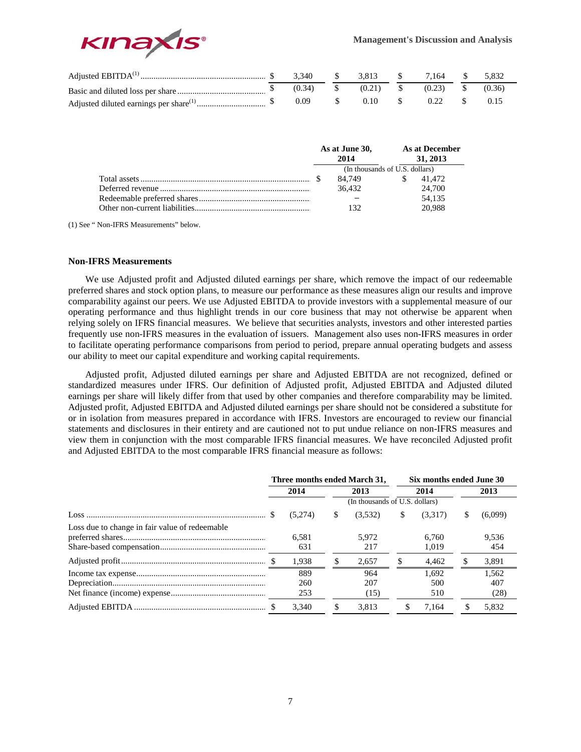

|  | 3.340       | $\mathcal{S}$ sets $\mathcal{S}$ | 3.813 \$    |      | 7,164  | 5.832  |
|--|-------------|----------------------------------|-------------|------|--------|--------|
|  | $(0.34)$ \$ |                                  | $(0.21)$ \$ |      | (0.23) | (0.36) |
|  | 0.09        |                                  | 0.10        | $-8$ | 0.22   | 0.15   |

|  | As at June 30,<br>2014         |     | As at December<br>31, 2013 |
|--|--------------------------------|-----|----------------------------|
|  | (In thousands of U.S. dollars) |     |                            |
|  | 84.749                         | \$. | 41.472                     |
|  | 36.432                         |     | 24,700                     |
|  |                                |     | 54.135                     |
|  |                                |     | 20.988                     |

(1) See " Non-IFRS Measurements" below.

# **Non-IFRS Measurements**

We use Adjusted profit and Adjusted diluted earnings per share, which remove the impact of our redeemable preferred shares and stock option plans, to measure our performance as these measures align our results and improve comparability against our peers. We use Adjusted EBITDA to provide investors with a supplemental measure of our operating performance and thus highlight trends in our core business that may not otherwise be apparent when relying solely on IFRS financial measures. We believe that securities analysts, investors and other interested parties frequently use non-IFRS measures in the evaluation of issuers. Management also uses non-IFRS measures in order to facilitate operating performance comparisons from period to period, prepare annual operating budgets and assess our ability to meet our capital expenditure and working capital requirements.

Adjusted profit, Adjusted diluted earnings per share and Adjusted EBITDA are not recognized, defined or standardized measures under IFRS. Our definition of Adjusted profit, Adjusted EBITDA and Adjusted diluted earnings per share will likely differ from that used by other companies and therefore comparability may be limited. Adjusted profit, Adjusted EBITDA and Adjusted diluted earnings per share should not be considered a substitute for or in isolation from measures prepared in accordance with IFRS. Investors are encouraged to review our financial statements and disclosures in their entirety and are cautioned not to put undue reliance on non-IFRS measures and view them in conjunction with the most comparable IFRS financial measures. We have reconciled Adjusted profit and Adjusted EBITDA to the most comparable IFRS financial measure as follows:

|                                                | Three months ended March 31, |   |                                | Six months ended June 30 |                     |    |                      |  |  |
|------------------------------------------------|------------------------------|---|--------------------------------|--------------------------|---------------------|----|----------------------|--|--|
|                                                | 2014                         |   | 2013                           |                          | 2014                |    | 2013                 |  |  |
|                                                |                              |   | (In thousands of U.S. dollars) |                          |                     |    |                      |  |  |
|                                                | (5,274)                      | S | (3.532)                        | \$                       | (3,317)             | S  | (6,099)              |  |  |
| Loss due to change in fair value of redeemable | 6.581<br>631                 |   | 5.972<br>217                   |                          | 6.760<br>1.019      |    | 9.536<br>454         |  |  |
|                                                | 1.938                        |   | 2.657                          |                          | 4.462               |    | 3,891                |  |  |
|                                                | 889<br>260<br>253            |   | 964<br>207<br>(15)             |                          | 1.692<br>500<br>510 |    | 1.562<br>407<br>(28) |  |  |
|                                                | 3.340                        |   | 3.813                          | \$.                      | 7.164               | \$ | 5.832                |  |  |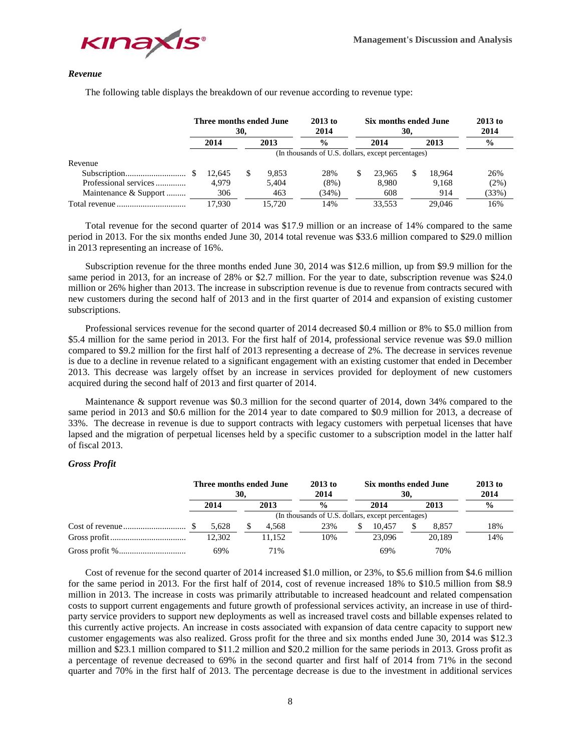



#### *Revenue*

The following table displays the breakdown of our revenue according to revenue type:

|                       | Three months ended June<br>30, |      | $2013$ to<br>2014 |                                                    | Six months ended June<br>30. | $2013$ to<br>2014 |    |        |               |
|-----------------------|--------------------------------|------|-------------------|----------------------------------------------------|------------------------------|-------------------|----|--------|---------------|
|                       | 2014                           | 2013 |                   | $\frac{6}{6}$                                      | 2014                         |                   |    | 2013   | $\frac{0}{0}$ |
|                       |                                |      |                   | (In thousands of U.S. dollars, except percentages) |                              |                   |    |        |               |
| Revenue               |                                |      |                   |                                                    |                              |                   |    |        |               |
|                       | 12.645                         | S    | 9.853             | 28%                                                |                              | 23,965            | S. | 18.964 | 26%           |
| Professional services | 4.979                          |      | 5,404             | $(8\%)$                                            |                              | 8.980             |    | 9.168  | $(2\%)$       |
| Maintenance & Support | 306                            |      | 463               | (34%)                                              |                              | 608               |    | 914    | (33%)         |
|                       | 17.930                         |      | 15.720            | 14%                                                |                              | 33.553            |    | 29,046 | 16%           |

Total revenue for the second quarter of 2014 was \$17.9 million or an increase of 14% compared to the same period in 2013. For the six months ended June 30, 2014 total revenue was \$33.6 million compared to \$29.0 million in 2013 representing an increase of 16%.

Subscription revenue for the three months ended June 30, 2014 was \$12.6 million, up from \$9.9 million for the same period in 2013, for an increase of 28% or \$2.7 million. For the year to date, subscription revenue was \$24.0 million or 26% higher than 2013. The increase in subscription revenue is due to revenue from contracts secured with new customers during the second half of 2013 and in the first quarter of 2014 and expansion of existing customer subscriptions.

Professional services revenue for the second quarter of 2014 decreased \$0.4 million or 8% to \$5.0 million from \$5.4 million for the same period in 2013. For the first half of 2014, professional service revenue was \$9.0 million compared to \$9.2 million for the first half of 2013 representing a decrease of 2%. The decrease in services revenue is due to a decline in revenue related to a significant engagement with an existing customer that ended in December 2013. This decrease was largely offset by an increase in services provided for deployment of new customers acquired during the second half of 2013 and first quarter of 2014.

Maintenance & support revenue was \$0.3 million for the second quarter of 2014, down 34% compared to the same period in 2013 and \$0.6 million for the 2014 year to date compared to \$0.9 million for 2013, a decrease of 33%. The decrease in revenue is due to support contracts with legacy customers with perpetual licenses that have lapsed and the migration of perpetual licenses held by a specific customer to a subscription model in the latter half of fiscal 2013.

# *Gross Profit*

|  |  | Three months ended June | 30. |        | $2013$ to<br>2014                                  |  | Six months ended June<br>30. | $2013$ to<br>2014 |        |               |  |  |  |
|--|--|-------------------------|-----|--------|----------------------------------------------------|--|------------------------------|-------------------|--------|---------------|--|--|--|
|  |  | 2014                    |     | 2013   | $\frac{0}{0}$                                      |  | 2014                         | 2013              |        | $\frac{0}{0}$ |  |  |  |
|  |  |                         |     |        | (In thousands of U.S. dollars, except percentages) |  |                              |                   |        |               |  |  |  |
|  |  | 5.628                   | S   | 4.568  | 23%                                                |  | 10.457                       |                   | 8.857  | 18%           |  |  |  |
|  |  | 12.302                  |     | 11.152 | 10%                                                |  | 23.096                       |                   | 20.189 | 14%           |  |  |  |
|  |  | 69%                     |     | 71%    |                                                    |  | 69%                          |                   | 70%    |               |  |  |  |

Cost of revenue for the second quarter of 2014 increased \$1.0 million, or 23%, to \$5.6 million from \$4.6 million for the same period in 2013. For the first half of 2014, cost of revenue increased 18% to \$10.5 million from \$8.9 million in 2013. The increase in costs was primarily attributable to increased headcount and related compensation costs to support current engagements and future growth of professional services activity, an increase in use of thirdparty service providers to support new deployments as well as increased travel costs and billable expenses related to this currently active projects. An increase in costs associated with expansion of data centre capacity to support new customer engagements was also realized. Gross profit for the three and six months ended June 30, 2014 was \$12.3 million and \$23.1 million compared to \$11.2 million and \$20.2 million for the same periods in 2013. Gross profit as a percentage of revenue decreased to 69% in the second quarter and first half of 2014 from 71% in the second quarter and 70% in the first half of 2013. The percentage decrease is due to the investment in additional services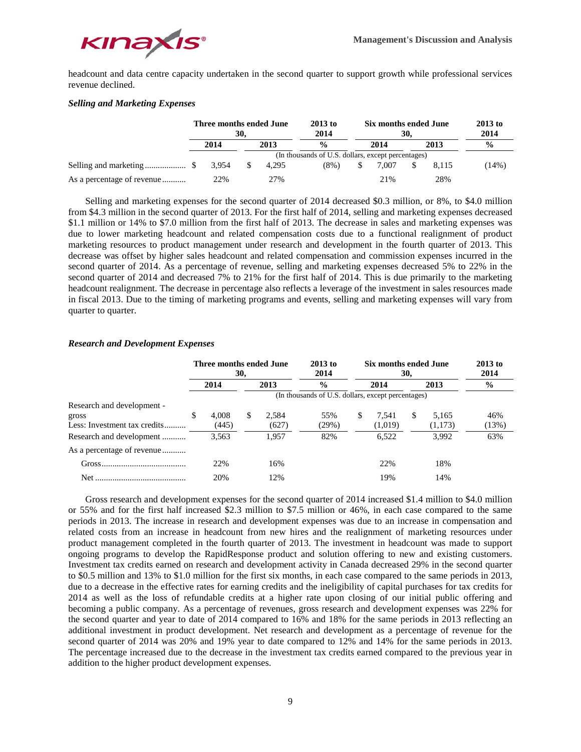

headcount and data centre capacity undertaken in the second quarter to support growth while professional services revenue declined.

# *Selling and Marketing Expenses*

|                            |              | Three months ended June | 30.          |               | $2013$ to<br>2014 |                                                    | Six months ended June<br>30. | $2013$ to<br>2014 |               |       |
|----------------------------|--------------|-------------------------|--------------|---------------|-------------------|----------------------------------------------------|------------------------------|-------------------|---------------|-------|
|                            | 2014<br>2013 |                         |              | $\frac{0}{0}$ | 2014              |                                                    |                              | 2013              | $\frac{0}{0}$ |       |
|                            |              |                         |              |               |                   | (In thousands of U.S. dollars, except percentages) |                              |                   |               |       |
|                            |              |                         | <sup>S</sup> | 4.295         | $(8\%)$           |                                                    | 7.007                        |                   | 8.115         | (14%) |
| As a percentage of revenue |              | 22%                     | 27%          |               |                   | 21%                                                |                              |                   | 28%           |       |

Selling and marketing expenses for the second quarter of 2014 decreased \$0.3 million, or 8%, to \$4.0 million from \$4.3 million in the second quarter of 2013. For the first half of 2014, selling and marketing expenses decreased \$1.1 million or 14% to \$7.0 million from the first half of 2013. The decrease in sales and marketing expenses was due to lower marketing headcount and related compensation costs due to a functional realignment of product marketing resources to product management under research and development in the fourth quarter of 2013. This decrease was offset by higher sales headcount and related compensation and commission expenses incurred in the second quarter of 2014. As a percentage of revenue, selling and marketing expenses decreased 5% to 22% in the second quarter of 2014 and decreased 7% to 21% for the first half of 2014. This is due primarily to the marketing headcount realignment. The decrease in percentage also reflects a leverage of the investment in sales resources made in fiscal 2013. Due to the timing of marketing programs and events, selling and marketing expenses will vary from quarter to quarter.

# *Research and Development Expenses*

|                                                                     |                                                    | Three months ended June<br>30, |    |                | $2013$ to<br>2014 |   | Six months ended June<br>30, | $2013$ to<br>2014 |                  |               |  |  |
|---------------------------------------------------------------------|----------------------------------------------------|--------------------------------|----|----------------|-------------------|---|------------------------------|-------------------|------------------|---------------|--|--|
|                                                                     |                                                    | 2014                           |    | 2013           | $\frac{0}{0}$     |   | 2014                         |                   | 2013             | $\frac{0}{0}$ |  |  |
|                                                                     | (In thousands of U.S. dollars, except percentages) |                                |    |                |                   |   |                              |                   |                  |               |  |  |
| Research and development -<br>gross<br>Less: Investment tax credits | S                                                  | 4.008<br>(445)                 | S. | 2.584<br>(627) | 55%<br>(29%)      | S | 7.541<br>(1,019)             | \$.               | 5.165<br>(1,173) | 46%<br>(13%)  |  |  |
| Research and development                                            |                                                    | 3,563                          |    | 1.957          | 82%               |   | 6.522                        |                   | 3.992            | 63%           |  |  |
| As a percentage of revenue                                          |                                                    |                                |    |                |                   |   |                              |                   |                  |               |  |  |
|                                                                     |                                                    | 22%                            |    | 16%            |                   |   | 22%                          |                   | 18%              |               |  |  |
|                                                                     |                                                    | 20%                            |    | 12%            |                   |   | 19%                          |                   | 14%              |               |  |  |

Gross research and development expenses for the second quarter of 2014 increased \$1.4 million to \$4.0 million or 55% and for the first half increased \$2.3 million to \$7.5 million or 46%, in each case compared to the same periods in 2013. The increase in research and development expenses was due to an increase in compensation and related costs from an increase in headcount from new hires and the realignment of marketing resources under product management completed in the fourth quarter of 2013. The investment in headcount was made to support ongoing programs to develop the RapidResponse product and solution offering to new and existing customers. Investment tax credits earned on research and development activity in Canada decreased 29% in the second quarter to \$0.5 million and 13% to \$1.0 million for the first six months, in each case compared to the same periods in 2013, due to a decrease in the effective rates for earning credits and the ineligibility of capital purchases for tax credits for 2014 as well as the loss of refundable credits at a higher rate upon closing of our initial public offering and becoming a public company. As a percentage of revenues, gross research and development expenses was 22% for the second quarter and year to date of 2014 compared to 16% and 18% for the same periods in 2013 reflecting an additional investment in product development. Net research and development as a percentage of revenue for the second quarter of 2014 was 20% and 19% year to date compared to 12% and 14% for the same periods in 2013. The percentage increased due to the decrease in the investment tax credits earned compared to the previous year in addition to the higher product development expenses.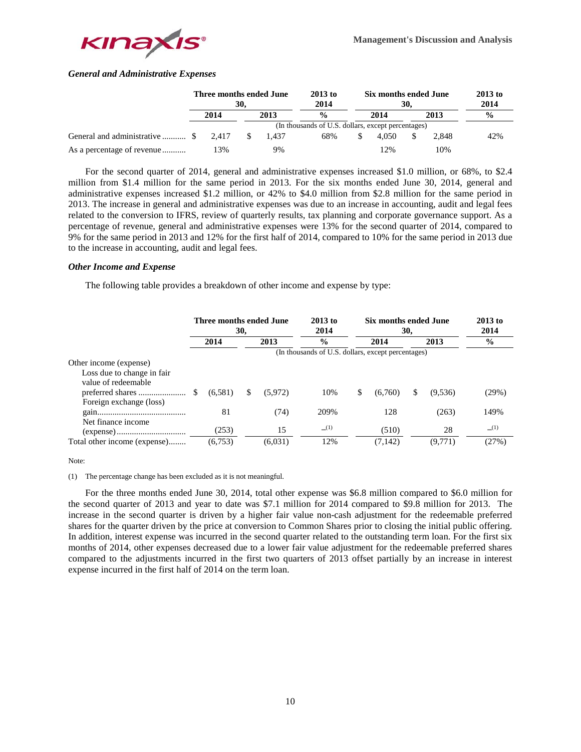

# *General and Administrative Expenses*

|                                |  | Three months ended June | 30. |       | $2013$ to<br>2014                                  | Six months ended June<br>30. | $2013$ to<br>2014 |       |               |
|--------------------------------|--|-------------------------|-----|-------|----------------------------------------------------|------------------------------|-------------------|-------|---------------|
| 2014                           |  |                         |     | 2013  | $\frac{0}{0}$                                      | 2014                         | 2013              |       | $\frac{0}{0}$ |
|                                |  |                         |     |       | (In thousands of U.S. dollars, except percentages) |                              |                   |       |               |
| General and administrative  \$ |  | 2.417                   | S   | 1.437 | 68%                                                | 4.050                        |                   | 2.848 | 42%           |
| As a percentage of revenue     |  | 13%                     |     | 9%    |                                                    | 12%                          |                   | 10%   |               |

For the second quarter of 2014, general and administrative expenses increased \$1.0 million, or 68%, to \$2.4 million from \$1.4 million for the same period in 2013. For the six months ended June 30, 2014, general and administrative expenses increased \$1.2 million, or 42% to \$4.0 million from \$2.8 million for the same period in 2013. The increase in general and administrative expenses was due to an increase in accounting, audit and legal fees related to the conversion to IFRS, review of quarterly results, tax planning and corporate governance support. As a percentage of revenue, general and administrative expenses were 13% for the second quarter of 2014, compared to 9% for the same period in 2013 and 12% for the first half of 2014, compared to 10% for the same period in 2013 due to the increase in accounting, audit and legal fees.

## *Other Income and Expense*

The following table provides a breakdown of other income and expense by type:

|                                                   | Three months ended June<br>30, |         |      |         | $2013$ to<br>2014                                  |      | Six months ended June<br>30. | $2013$ to<br>2014 |         |               |
|---------------------------------------------------|--------------------------------|---------|------|---------|----------------------------------------------------|------|------------------------------|-------------------|---------|---------------|
|                                                   |                                | 2014    | 2013 |         | $\frac{0}{0}$                                      | 2014 |                              |                   | 2013    | $\frac{6}{9}$ |
|                                                   |                                |         |      |         | (In thousands of U.S. dollars, except percentages) |      |                              |                   |         |               |
| Other income (expense)                            |                                |         |      |         |                                                    |      |                              |                   |         |               |
| Loss due to change in fair<br>value of redeemable |                                |         |      |         |                                                    |      |                              |                   |         |               |
| Foreign exchange (loss)                           | -S                             | (6,581) | \$   | (5,972) | 10%                                                | S.   | (6,760)                      | S                 | (9,536) | (29%)         |
|                                                   |                                | 81      |      | (74)    | 209%                                               |      | 128                          |                   | (263)   | 149%          |
| Net finance income                                |                                | (253)   |      | 15      | (1)                                                |      | (510)                        |                   | 28      | (1)           |
| Total other income (expense)                      |                                | (6,753) |      | (6,031) | 12%                                                |      | (7, 142)                     |                   | (9,771) | (27%)         |

Note:

#### (1) The percentage change has been excluded as it is not meaningful.

For the three months ended June 30, 2014, total other expense was \$6.8 million compared to \$6.0 million for the second quarter of 2013 and year to date was \$7.1 million for 2014 compared to \$9.8 million for 2013. The increase in the second quarter is driven by a higher fair value non-cash adjustment for the redeemable preferred shares for the quarter driven by the price at conversion to Common Shares prior to closing the initial public offering. In addition, interest expense was incurred in the second quarter related to the outstanding term loan. For the first six months of 2014, other expenses decreased due to a lower fair value adjustment for the redeemable preferred shares compared to the adjustments incurred in the first two quarters of 2013 offset partially by an increase in interest expense incurred in the first half of 2014 on the term loan.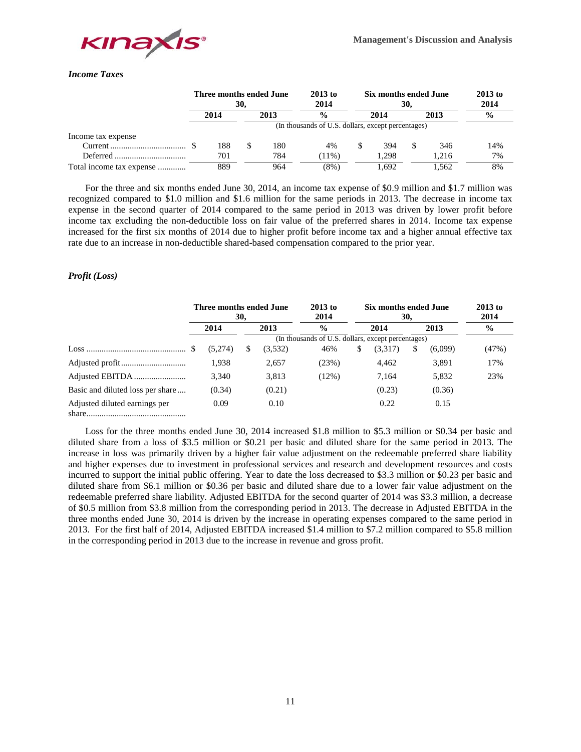

# *Income Taxes*

|                          | Three months ended June | 30,  |     | $2013$ to<br>2014 |                                                    | Six months ended June<br>30. | $2013$ to<br>2014 |       |               |  |
|--------------------------|-------------------------|------|-----|-------------------|----------------------------------------------------|------------------------------|-------------------|-------|---------------|--|
|                          | 2014                    | 2013 |     | $\frac{0}{0}$     |                                                    | 2014                         | 2013              |       | $\frac{0}{0}$ |  |
|                          |                         |      |     |                   | (In thousands of U.S. dollars, except percentages) |                              |                   |       |               |  |
| Income tax expense       |                         |      |     |                   |                                                    |                              |                   |       |               |  |
|                          | 188                     | S    | 180 | 4%                |                                                    | 394                          | S                 | 346   | 14%           |  |
|                          | 701                     |      | 784 | $11\%)$           |                                                    | 1.298                        |                   | 1.216 | 7%            |  |
| Total income tax expense | 889                     |      | 964 | (8%)              |                                                    | 1.692                        |                   | 1,562 | 8%            |  |

For the three and six months ended June 30, 2014, an income tax expense of \$0.9 million and \$1.7 million was recognized compared to \$1.0 million and \$1.6 million for the same periods in 2013. The decrease in income tax expense in the second quarter of 2014 compared to the same period in 2013 was driven by lower profit before income tax excluding the non-deductible loss on fair value of the preferred shares in 2014. Income tax expense increased for the first six months of 2014 due to higher profit before income tax and a higher annual effective tax rate due to an increase in non-deductible shared-based compensation compared to the prior year.

# *Profit (Loss)*

|                                  | Three months ended June                            | 30, |         | $2013$ to<br>2014 |      | Six months ended June<br>30. |    | $2013$ to<br>2014 |               |  |  |  |
|----------------------------------|----------------------------------------------------|-----|---------|-------------------|------|------------------------------|----|-------------------|---------------|--|--|--|
|                                  | 2014                                               |     | 2013    | $\frac{6}{9}$     | 2014 |                              |    | 2013              | $\frac{6}{9}$ |  |  |  |
|                                  | (In thousands of U.S. dollars, except percentages) |     |         |                   |      |                              |    |                   |               |  |  |  |
|                                  | (5,274)                                            | S   | (3,532) | 46%               | \$   | (3,317)                      | \$ | (6,099)           | (47%)         |  |  |  |
|                                  | 1,938                                              |     | 2,657   | (23%)             |      | 4.462                        |    | 3,891             | 17%           |  |  |  |
|                                  | 3.340                                              |     | 3.813   | (12%)             |      | 7.164                        |    | 5.832             | 23%           |  |  |  |
| Basic and diluted loss per share | (0.34)                                             |     | (0.21)  |                   |      | (0.23)                       |    | (0.36)            |               |  |  |  |
| Adjusted diluted earnings per    | 0.09                                               |     | 0.10    |                   |      | 0.22                         |    | 0.15              |               |  |  |  |

Loss for the three months ended June 30, 2014 increased \$1.8 million to \$5.3 million or \$0.34 per basic and diluted share from a loss of \$3.5 million or \$0.21 per basic and diluted share for the same period in 2013. The increase in loss was primarily driven by a higher fair value adjustment on the redeemable preferred share liability and higher expenses due to investment in professional services and research and development resources and costs incurred to support the initial public offering. Year to date the loss decreased to \$3.3 million or \$0.23 per basic and diluted share from \$6.1 million or \$0.36 per basic and diluted share due to a lower fair value adjustment on the redeemable preferred share liability. Adjusted EBITDA for the second quarter of 2014 was \$3.3 million, a decrease of \$0.5 million from \$3.8 million from the corresponding period in 2013. The decrease in Adjusted EBITDA in the three months ended June 30, 2014 is driven by the increase in operating expenses compared to the same period in 2013. For the first half of 2014, Adjusted EBITDA increased \$1.4 million to \$7.2 million compared to \$5.8 million in the corresponding period in 2013 due to the increase in revenue and gross profit.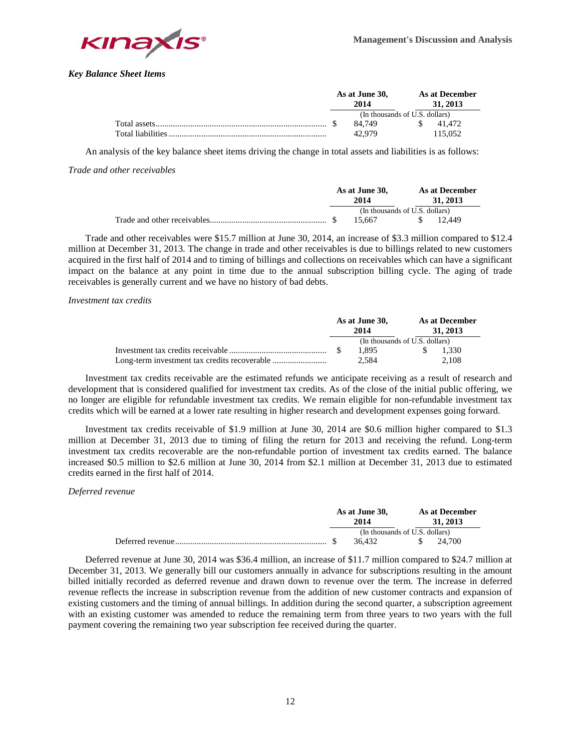

*Key Balance Sheet Items*

|                   | As at June 30,<br>2014         |        |  | As at December<br>31, 2013 |         |  |  |
|-------------------|--------------------------------|--------|--|----------------------------|---------|--|--|
|                   | (In thousands of U.S. dollars) |        |  |                            |         |  |  |
|                   |                                | 84.749 |  |                            | 41.472  |  |  |
| Total liabilities |                                | 42.979 |  |                            | 115.052 |  |  |

An analysis of the key balance sheet items driving the change in total assets and liabilities is as follows:

*Trade and other receivables*

| As at June 30,<br>2014         |        | As at December<br>31, 2013 |  |        |
|--------------------------------|--------|----------------------------|--|--------|
| (In thousands of U.S. dollars) |        |                            |  |        |
|                                | 15.667 |                            |  | 12.449 |

Trade and other receivables were \$15.7 million at June 30, 2014, an increase of \$3.3 million compared to \$12.4 million at December 31, 2013. The change in trade and other receivables is due to billings related to new customers acquired in the first half of 2014 and to timing of billings and collections on receivables which can have a significant impact on the balance at any point in time due to the annual subscription billing cycle. The aging of trade receivables is generally current and we have no history of bad debts.

## *Investment tax credits*

| As at June 30,<br>2014         |       |  | As at December<br>31, 2013 |  |
|--------------------------------|-------|--|----------------------------|--|
| (In thousands of U.S. dollars) |       |  |                            |  |
|                                | 1.895 |  | 1.330                      |  |
|                                | 2.584 |  | 2.108                      |  |

Investment tax credits receivable are the estimated refunds we anticipate receiving as a result of research and development that is considered qualified for investment tax credits. As of the close of the initial public offering, we no longer are eligible for refundable investment tax credits. We remain eligible for non-refundable investment tax credits which will be earned at a lower rate resulting in higher research and development expenses going forward.

Investment tax credits receivable of \$1.9 million at June 30, 2014 are \$0.6 million higher compared to \$1.3 million at December 31, 2013 due to timing of filing the return for 2013 and receiving the refund. Long-term investment tax credits recoverable are the non-refundable portion of investment tax credits earned. The balance increased \$0.5 million to \$2.6 million at June 30, 2014 from \$2.1 million at December 31, 2013 due to estimated credits earned in the first half of 2014.

# *Deferred revenue*

| As at June 30,<br>2014         |        |  | <b>As at December</b><br>31, 2013 |        |  |
|--------------------------------|--------|--|-----------------------------------|--------|--|
| (In thousands of U.S. dollars) |        |  |                                   |        |  |
|                                | 36.432 |  |                                   | 24.700 |  |

Deferred revenue at June 30, 2014 was \$36.4 million, an increase of \$11.7 million compared to \$24.7 million at December 31, 2013. We generally bill our customers annually in advance for subscriptions resulting in the amount billed initially recorded as deferred revenue and drawn down to revenue over the term. The increase in deferred revenue reflects the increase in subscription revenue from the addition of new customer contracts and expansion of existing customers and the timing of annual billings. In addition during the second quarter, a subscription agreement with an existing customer was amended to reduce the remaining term from three years to two years with the full payment covering the remaining two year subscription fee received during the quarter.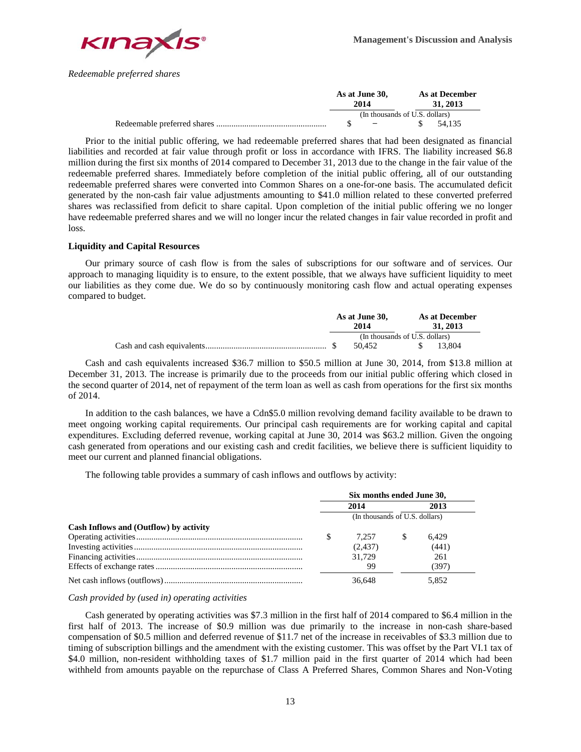

*Redeemable preferred shares*

| As at June 30,<br>2014 |                                     |     | As at December<br>31, 2013 |
|------------------------|-------------------------------------|-----|----------------------------|
|                        | (In thousands of U.S. dollars)      |     |                            |
|                        | and the contract of the contract of | - S | 54.135                     |

Prior to the initial public offering, we had redeemable preferred shares that had been designated as financial liabilities and recorded at fair value through profit or loss in accordance with IFRS. The liability increased \$6.8 million during the first six months of 2014 compared to December 31, 2013 due to the change in the fair value of the redeemable preferred shares. Immediately before completion of the initial public offering, all of our outstanding redeemable preferred shares were converted into Common Shares on a one-for-one basis. The accumulated deficit generated by the non-cash fair value adjustments amounting to \$41.0 million related to these converted preferred shares was reclassified from deficit to share capital. Upon completion of the initial public offering we no longer have redeemable preferred shares and we will no longer incur the related changes in fair value recorded in profit and loss.

## **Liquidity and Capital Resources**

Our primary source of cash flow is from the sales of subscriptions for our software and of services. Our approach to managing liquidity is to ensure, to the extent possible, that we always have sufficient liquidity to meet our liabilities as they come due. We do so by continuously monitoring cash flow and actual operating expenses compared to budget.

| As at June 30,<br>2014 |                                |  | As at December<br>31, 2013 |
|------------------------|--------------------------------|--|----------------------------|
|                        | (In thousands of U.S. dollars) |  |                            |
|                        | 50.452                         |  | 13.804                     |

Cash and cash equivalents increased \$36.7 million to \$50.5 million at June 30, 2014, from \$13.8 million at December 31, 2013. The increase is primarily due to the proceeds from our initial public offering which closed in the second quarter of 2014, net of repayment of the term loan as well as cash from operations for the first six months of 2014.

In addition to the cash balances, we have a Cdn\$5.0 million revolving demand facility available to be drawn to meet ongoing working capital requirements. Our principal cash requirements are for working capital and capital expenditures. Excluding deferred revenue, working capital at June 30, 2014 was \$63.2 million. Given the ongoing cash generated from operations and our existing cash and credit facilities, we believe there is sufficient liquidity to meet our current and planned financial obligations.

The following table provides a summary of cash inflows and outflows by activity:

|                                        | Six months ended June 30, |                                |    |       |  |
|----------------------------------------|---------------------------|--------------------------------|----|-------|--|
|                                        |                           | 2014                           |    | 2013  |  |
|                                        |                           | (In thousands of U.S. dollars) |    |       |  |
| Cash Inflows and (Outflow) by activity |                           |                                |    |       |  |
|                                        |                           | 7.257                          | -S | 6.429 |  |
|                                        |                           | (2, 437)                       |    | (441) |  |
|                                        |                           | 31.729                         |    | 261   |  |
|                                        |                           | 99                             |    | (397) |  |
|                                        |                           | 36.648                         |    | 5.852 |  |

*Cash provided by (used in) operating activities*

Cash generated by operating activities was \$7.3 million in the first half of 2014 compared to \$6.4 million in the first half of 2013. The increase of \$0.9 million was due primarily to the increase in non-cash share-based compensation of \$0.5 million and deferred revenue of \$11.7 net of the increase in receivables of \$3.3 million due to timing of subscription billings and the amendment with the existing customer. This was offset by the Part VI.1 tax of \$4.0 million, non-resident withholding taxes of \$1.7 million paid in the first quarter of 2014 which had been withheld from amounts payable on the repurchase of Class A Preferred Shares, Common Shares and Non-Voting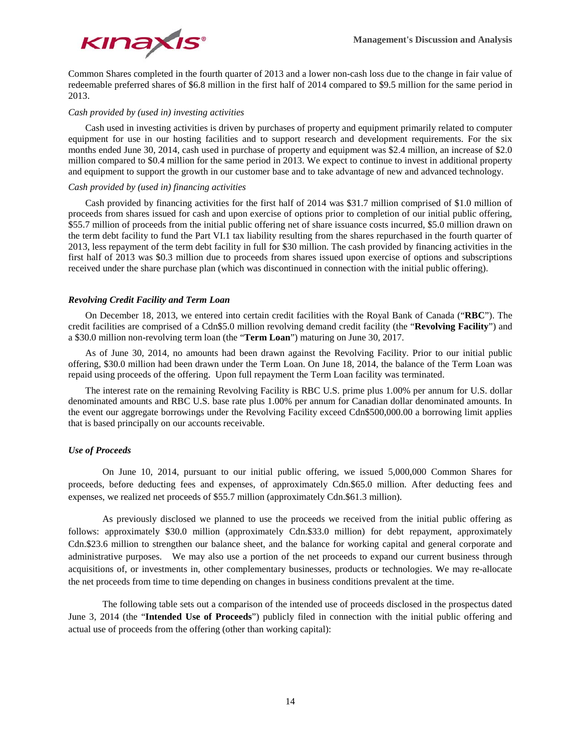

Common Shares completed in the fourth quarter of 2013 and a lower non-cash loss due to the change in fair value of redeemable preferred shares of \$6.8 million in the first half of 2014 compared to \$9.5 million for the same period in 2013.

#### *Cash provided by (used in) investing activities*

Cash used in investing activities is driven by purchases of property and equipment primarily related to computer equipment for use in our hosting facilities and to support research and development requirements. For the six months ended June 30, 2014, cash used in purchase of property and equipment was \$2.4 million, an increase of \$2.0 million compared to \$0.4 million for the same period in 2013. We expect to continue to invest in additional property and equipment to support the growth in our customer base and to take advantage of new and advanced technology.

## *Cash provided by (used in) financing activities*

Cash provided by financing activities for the first half of 2014 was \$31.7 million comprised of \$1.0 million of proceeds from shares issued for cash and upon exercise of options prior to completion of our initial public offering, \$55.7 million of proceeds from the initial public offering net of share issuance costs incurred, \$5.0 million drawn on the term debt facility to fund the Part VI.1 tax liability resulting from the shares repurchased in the fourth quarter of 2013, less repayment of the term debt facility in full for \$30 million. The cash provided by financing activities in the first half of 2013 was \$0.3 million due to proceeds from shares issued upon exercise of options and subscriptions received under the share purchase plan (which was discontinued in connection with the initial public offering).

#### *Revolving Credit Facility and Term Loan*

On December 18, 2013, we entered into certain credit facilities with the Royal Bank of Canada ("**RBC**"). The credit facilities are comprised of a Cdn\$5.0 million revolving demand credit facility (the "**Revolving Facility**") and a \$30.0 million non-revolving term loan (the "**Term Loan**") maturing on June 30, 2017.

As of June 30, 2014, no amounts had been drawn against the Revolving Facility. Prior to our initial public offering, \$30.0 million had been drawn under the Term Loan. On June 18, 2014, the balance of the Term Loan was repaid using proceeds of the offering. Upon full repayment the Term Loan facility was terminated.

The interest rate on the remaining Revolving Facility is RBC U.S. prime plus 1.00% per annum for U.S. dollar denominated amounts and RBC U.S. base rate plus 1.00% per annum for Canadian dollar denominated amounts. In the event our aggregate borrowings under the Revolving Facility exceed Cdn\$500,000.00 a borrowing limit applies that is based principally on our accounts receivable.

# *Use of Proceeds*

On June 10, 2014, pursuant to our initial public offering, we issued 5,000,000 Common Shares for proceeds, before deducting fees and expenses, of approximately Cdn.\$65.0 million. After deducting fees and expenses, we realized net proceeds of \$55.7 million (approximately Cdn.\$61.3 million).

As previously disclosed we planned to use the proceeds we received from the initial public offering as follows: approximately \$30.0 million (approximately Cdn.\$33.0 million) for debt repayment, approximately Cdn.\$23.6 million to strengthen our balance sheet, and the balance for working capital and general corporate and administrative purposes. We may also use a portion of the net proceeds to expand our current business through acquisitions of, or investments in, other complementary businesses, products or technologies. We may re-allocate the net proceeds from time to time depending on changes in business conditions prevalent at the time.

The following table sets out a comparison of the intended use of proceeds disclosed in the prospectus dated June 3, 2014 (the "**Intended Use of Proceeds**") publicly filed in connection with the initial public offering and actual use of proceeds from the offering (other than working capital):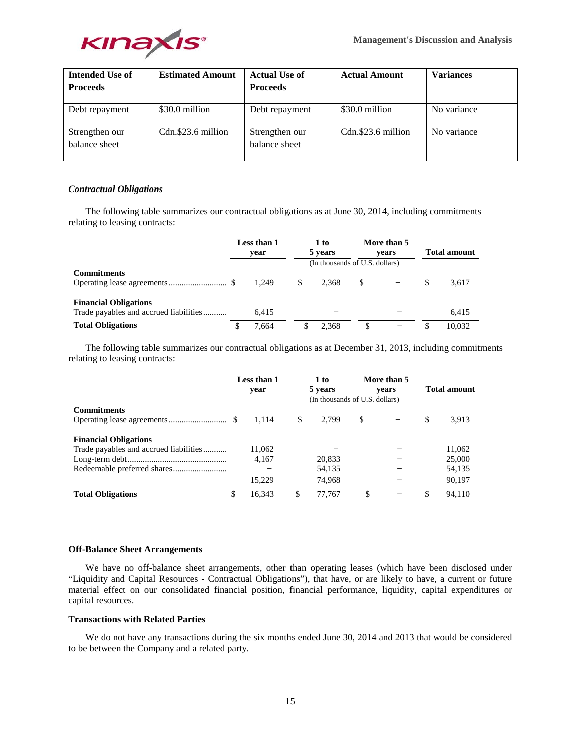

| <b>Intended Use of</b>          | <b>Estimated Amount</b> | <b>Actual Use of</b>            | <b>Actual Amount</b> | <b>Variances</b> |
|---------------------------------|-------------------------|---------------------------------|----------------------|------------------|
| <b>Proceeds</b>                 |                         | <b>Proceeds</b>                 |                      |                  |
| Debt repayment                  | \$30.0 million          | Debt repayment                  | \$30.0 million       | No variance      |
| Strengthen our<br>balance sheet | Cdn.\$23.6 million      | Strengthen our<br>balance sheet | Cdn.\$23.6 million   | No variance      |

# *Contractual Obligations*

The following table summarizes our contractual obligations as at June 30, 2014, including commitments relating to leasing contracts:

|                                                                        | Less than 1<br>vear |       |       |   | 1 to<br>5 years | More than 5<br>vears<br>(In thousands of U.S. dollars) |  | <b>Total amount</b> |
|------------------------------------------------------------------------|---------------------|-------|-------|---|-----------------|--------------------------------------------------------|--|---------------------|
| <b>Commitments</b>                                                     |                     | 1.249 | 2.368 | S |                 | 3,617                                                  |  |                     |
| <b>Financial Obligations</b><br>Trade payables and accrued liabilities |                     | 6.415 |       |   |                 | 6.415                                                  |  |                     |
| <b>Total Obligations</b>                                               | \$                  | 7.664 | 2.368 |   |                 | 10.032                                                 |  |                     |

The following table summarizes our contractual obligations as at December 31, 2013, including commitments relating to leasing contracts:

|                                        | Less than 1<br>vear |    | 1 to<br>5 years                |    | More than 5<br>vears | <b>Total amount</b> |
|----------------------------------------|---------------------|----|--------------------------------|----|----------------------|---------------------|
|                                        |                     |    | (In thousands of U.S. dollars) |    |                      |                     |
| <b>Commitments</b>                     |                     |    |                                |    |                      |                     |
|                                        | 1.114               | -S | 2.799                          | S. |                      | \$<br>3.913         |
| <b>Financial Obligations</b>           |                     |    |                                |    |                      |                     |
| Trade payables and accrued liabilities | 11,062              |    |                                |    |                      | 11,062              |
|                                        | 4.167               |    | 20,833                         |    |                      | 25,000              |
|                                        |                     |    | 54,135                         |    |                      | 54,135              |
|                                        | 15.229              |    | 74.968                         |    |                      | 90.197              |
| <b>Total Obligations</b>               | \$<br>16.343        |    | 77.767                         | \$ |                      | 94.110              |

## **Off-Balance Sheet Arrangements**

We have no off-balance sheet arrangements, other than operating leases (which have been disclosed under "Liquidity and Capital Resources - Contractual Obligations"), that have, or are likely to have, a current or future material effect on our consolidated financial position, financial performance, liquidity, capital expenditures or capital resources.

# **Transactions with Related Parties**

We do not have any transactions during the six months ended June 30, 2014 and 2013 that would be considered to be between the Company and a related party.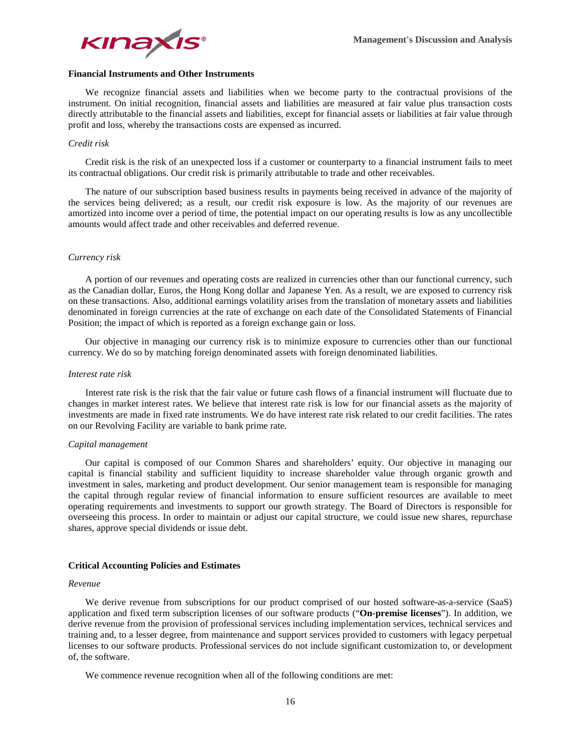

# **Financial Instruments and Other Instruments**

We recognize financial assets and liabilities when we become party to the contractual provisions of the instrument. On initial recognition, financial assets and liabilities are measured at fair value plus transaction costs directly attributable to the financial assets and liabilities, except for financial assets or liabilities at fair value through profit and loss, whereby the transactions costs are expensed as incurred.

#### *Credit risk*

Credit risk is the risk of an unexpected loss if a customer or counterparty to a financial instrument fails to meet its contractual obligations. Our credit risk is primarily attributable to trade and other receivables.

The nature of our subscription based business results in payments being received in advance of the majority of the services being delivered; as a result, our credit risk exposure is low. As the majority of our revenues are amortized into income over a period of time, the potential impact on our operating results is low as any uncollectible amounts would affect trade and other receivables and deferred revenue.

#### *Currency risk*

A portion of our revenues and operating costs are realized in currencies other than our functional currency, such as the Canadian dollar, Euros, the Hong Kong dollar and Japanese Yen. As a result, we are exposed to currency risk on these transactions. Also, additional earnings volatility arises from the translation of monetary assets and liabilities denominated in foreign currencies at the rate of exchange on each date of the Consolidated Statements of Financial Position; the impact of which is reported as a foreign exchange gain or loss.

Our objective in managing our currency risk is to minimize exposure to currencies other than our functional currency. We do so by matching foreign denominated assets with foreign denominated liabilities.

#### *Interest rate risk*

Interest rate risk is the risk that the fair value or future cash flows of a financial instrument will fluctuate due to changes in market interest rates. We believe that interest rate risk is low for our financial assets as the majority of investments are made in fixed rate instruments. We do have interest rate risk related to our credit facilities. The rates on our Revolving Facility are variable to bank prime rate.

#### *Capital management*

Our capital is composed of our Common Shares and shareholders' equity. Our objective in managing our capital is financial stability and sufficient liquidity to increase shareholder value through organic growth and investment in sales, marketing and product development. Our senior management team is responsible for managing the capital through regular review of financial information to ensure sufficient resources are available to meet operating requirements and investments to support our growth strategy. The Board of Directors is responsible for overseeing this process. In order to maintain or adjust our capital structure, we could issue new shares, repurchase shares, approve special dividends or issue debt.

## **Critical Accounting Policies and Estimates**

#### *Revenue*

We derive revenue from subscriptions for our product comprised of our hosted software-as-a-service (SaaS) application and fixed term subscription licenses of our software products ("**On-premise licenses**"). In addition, we derive revenue from the provision of professional services including implementation services, technical services and training and, to a lesser degree, from maintenance and support services provided to customers with legacy perpetual licenses to our software products. Professional services do not include significant customization to, or development of, the software.

We commence revenue recognition when all of the following conditions are met: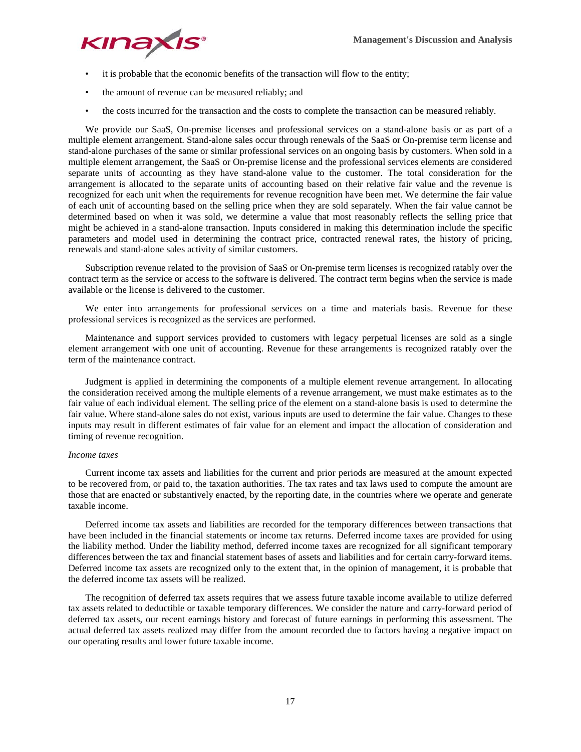

- it is probable that the economic benefits of the transaction will flow to the entity;
- the amount of revenue can be measured reliably; and
- the costs incurred for the transaction and the costs to complete the transaction can be measured reliably.

We provide our SaaS, On-premise licenses and professional services on a stand-alone basis or as part of a multiple element arrangement. Stand-alone sales occur through renewals of the SaaS or On-premise term license and stand-alone purchases of the same or similar professional services on an ongoing basis by customers. When sold in a multiple element arrangement, the SaaS or On-premise license and the professional services elements are considered separate units of accounting as they have stand-alone value to the customer. The total consideration for the arrangement is allocated to the separate units of accounting based on their relative fair value and the revenue is recognized for each unit when the requirements for revenue recognition have been met. We determine the fair value of each unit of accounting based on the selling price when they are sold separately. When the fair value cannot be determined based on when it was sold, we determine a value that most reasonably reflects the selling price that might be achieved in a stand-alone transaction. Inputs considered in making this determination include the specific parameters and model used in determining the contract price, contracted renewal rates, the history of pricing, renewals and stand-alone sales activity of similar customers.

Subscription revenue related to the provision of SaaS or On-premise term licenses is recognized ratably over the contract term as the service or access to the software is delivered. The contract term begins when the service is made available or the license is delivered to the customer.

We enter into arrangements for professional services on a time and materials basis. Revenue for these professional services is recognized as the services are performed.

Maintenance and support services provided to customers with legacy perpetual licenses are sold as a single element arrangement with one unit of accounting. Revenue for these arrangements is recognized ratably over the term of the maintenance contract.

Judgment is applied in determining the components of a multiple element revenue arrangement. In allocating the consideration received among the multiple elements of a revenue arrangement, we must make estimates as to the fair value of each individual element. The selling price of the element on a stand-alone basis is used to determine the fair value. Where stand-alone sales do not exist, various inputs are used to determine the fair value. Changes to these inputs may result in different estimates of fair value for an element and impact the allocation of consideration and timing of revenue recognition.

# *Income taxes*

Current income tax assets and liabilities for the current and prior periods are measured at the amount expected to be recovered from, or paid to, the taxation authorities. The tax rates and tax laws used to compute the amount are those that are enacted or substantively enacted, by the reporting date, in the countries where we operate and generate taxable income.

Deferred income tax assets and liabilities are recorded for the temporary differences between transactions that have been included in the financial statements or income tax returns. Deferred income taxes are provided for using the liability method. Under the liability method, deferred income taxes are recognized for all significant temporary differences between the tax and financial statement bases of assets and liabilities and for certain carry-forward items. Deferred income tax assets are recognized only to the extent that, in the opinion of management, it is probable that the deferred income tax assets will be realized.

The recognition of deferred tax assets requires that we assess future taxable income available to utilize deferred tax assets related to deductible or taxable temporary differences. We consider the nature and carry-forward period of deferred tax assets, our recent earnings history and forecast of future earnings in performing this assessment. The actual deferred tax assets realized may differ from the amount recorded due to factors having a negative impact on our operating results and lower future taxable income.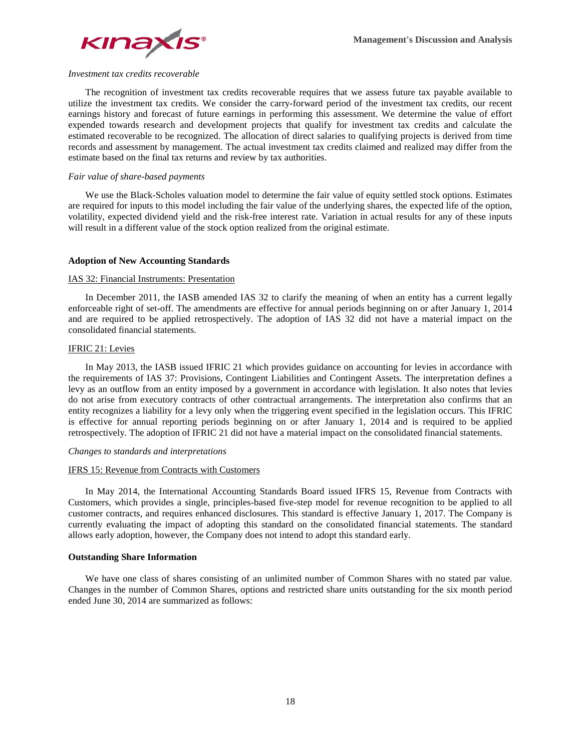

#### *Investment tax credits recoverable*

The recognition of investment tax credits recoverable requires that we assess future tax payable available to utilize the investment tax credits. We consider the carry-forward period of the investment tax credits, our recent earnings history and forecast of future earnings in performing this assessment. We determine the value of effort expended towards research and development projects that qualify for investment tax credits and calculate the estimated recoverable to be recognized. The allocation of direct salaries to qualifying projects is derived from time records and assessment by management. The actual investment tax credits claimed and realized may differ from the estimate based on the final tax returns and review by tax authorities.

# *Fair value of share-based payments*

We use the Black-Scholes valuation model to determine the fair value of equity settled stock options. Estimates are required for inputs to this model including the fair value of the underlying shares, the expected life of the option, volatility, expected dividend yield and the risk-free interest rate. Variation in actual results for any of these inputs will result in a different value of the stock option realized from the original estimate.

## **Adoption of New Accounting Standards**

## IAS 32: Financial Instruments: Presentation

In December 2011, the IASB amended IAS 32 to clarify the meaning of when an entity has a current legally enforceable right of set-off. The amendments are effective for annual periods beginning on or after January 1, 2014 and are required to be applied retrospectively. The adoption of IAS 32 did not have a material impact on the consolidated financial statements.

## IFRIC 21: Levies

In May 2013, the IASB issued IFRIC 21 which provides guidance on accounting for levies in accordance with the requirements of IAS 37: Provisions, Contingent Liabilities and Contingent Assets. The interpretation defines a levy as an outflow from an entity imposed by a government in accordance with legislation. It also notes that levies do not arise from executory contracts of other contractual arrangements. The interpretation also confirms that an entity recognizes a liability for a levy only when the triggering event specified in the legislation occurs. This IFRIC is effective for annual reporting periods beginning on or after January 1, 2014 and is required to be applied retrospectively. The adoption of IFRIC 21 did not have a material impact on the consolidated financial statements.

#### *Changes to standards and interpretations*

## IFRS 15: Revenue from Contracts with Customers

In May 2014, the International Accounting Standards Board issued IFRS 15, Revenue from Contracts with Customers, which provides a single, principles-based five-step model for revenue recognition to be applied to all customer contracts, and requires enhanced disclosures. This standard is effective January 1, 2017. The Company is currently evaluating the impact of adopting this standard on the consolidated financial statements. The standard allows early adoption, however, the Company does not intend to adopt this standard early.

# **Outstanding Share Information**

We have one class of shares consisting of an unlimited number of Common Shares with no stated par value. Changes in the number of Common Shares, options and restricted share units outstanding for the six month period ended June 30, 2014 are summarized as follows: